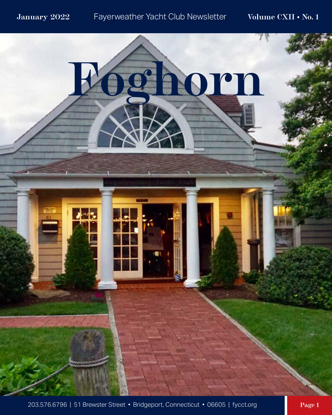

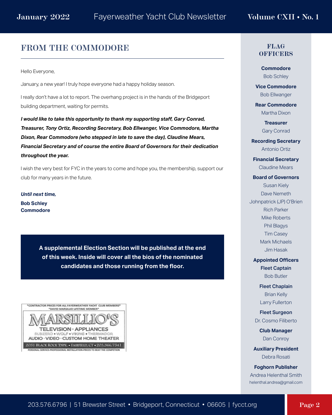### **FROM THE COMMODORE**

Hello Everyone,

January, a new year! I truly hope everyone had a happy holiday season.

I really don't have a lot to report. The overhang project is in the hands of the Bridgeport building department, waiting for permits.

*I would like to take this opportunity to thank my supporting staff, Gary Conrad, Treasurer, Tony Ortiz, Recording Secretary, Bob Ellwanger, Vice Commodore, Martha Dixon, Rear Commodore (who stepped in late to save the day), Claudine Mears, Financial Secretary and of course the entire Board of Governors for their dedication throughout the year.*

I wish the very best for FYC in the years to come and hope you, the membership, support our club for many years in the future.

*Until next time,* **Bob Schley Commodore**

> **A supplemental Election Section will be published at the end of this week. Inside will cover all the bios of the nominated candidates and those running from the floor.**



#### **FLAG OFFICERS**

**Commodore** Bob Schley

**Vice Commodore** Bob Ellwanger

**Rear Commodore** Martha Dixon

> **Treasurer** Gary Conrad

**Recording Secretary** Antonio Ortiz

**Financial Secretary** Claudine Mears

#### **Board of Governors**

Susan Kiely Dave Nemeth Johnpatrick (JP) O'Brien Rich Parker Mike Roberts Phil Blagys Tim Casey Mark Michaels Jim Hasak

**Appointed Officers** Fleet Captain

Bob Butler

Fleet Chaplain Brian Kelly Larry Fullerton

Fleet Surgeon Dr. Cosmo Filiberto

> **Club Manager** Dan Conroy

**Auxiliary President** Debra Rosati

**Foghorn Publisher** Andrea Helenthal Smith helenthal.andrea@gmail.com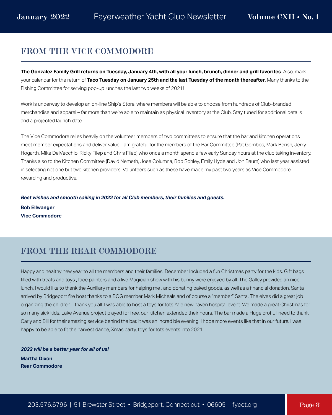# **FROM THE VICE COMMODORE**

**The Gonzalez Family Grill returns on Tuesday, January 4th, with all your lunch, brunch, dinner and grill favorites**. Also, mark your calendar for the return of **Taco Tuesday on January 25th and the last Tuesday of the month thereafter**. Many thanks to the Fishing Committee for serving pop-up lunches the last two weeks of 2021!

Work is underway to develop an on-line Ship's Store, where members will be able to choose from hundreds of Club-branded merchandise and apparel – far more than we're able to maintain as physical inventory at the Club. Stay tuned for additional details and a projected launch date.

The Vice Commodore relies heavily on the volunteer members of two committees to ensure that the bar and kitchen operations meet member expectations and deliver value. I am grateful for the members of the Bar Committee (Pat Gombos, Mark Berish, Jerry Hogarth, Mike DelVecchio, Ricky Filep and Chris Filep) who once a month spend a few early Sunday hours at the club taking inventory. Thanks also to the Kitchen Committee (David Nemeth, Jose Columna, Bob Schley, Emily Hyde and Jon Baum) who last year assisted in selecting not one but two kitchen providers. Volunteers such as these have made my past two years as Vice Commodore rewarding and productive.

*Best wishes and smooth sailing in 2022 for all Club members, their families and guests.*

**Bob Ellwanger Vice Commodore**

# **FROM THE REAR COMMODORE**

Happy and healthy new year to all the members and their families. December Included a fun Christmas party for the kids. Gift bags filled with treats and toys, face painters and a live Magician show with his bunny were enjoyed by all. The Galley provided an nice lunch. I would like to thank the Auxiliary members for helping me , and donating baked goods, as well as a financial donation. Santa arrived by Bridgeport fire boat thanks to a BOG member Mark Micheals and of course a "member" Santa. The elves did a great job organizing the children. I thank you all. I was able to host a toys for tots Yale new haven hospital event. We made a great Christmas for so many sick kids. Lake Avenue project played for free, our kitchen extended their hours. The bar made a Huge profit. I need to thank Carly and Bill for their amazing service behind the bar. It was an incredible evening. I hope more events like that in our future. I was happy to be able to fit the harvest dance, Xmas party, toys for tots events into 2021.

*2022 will be a better year for all of us!* **Martha Dixon Rear Commodore**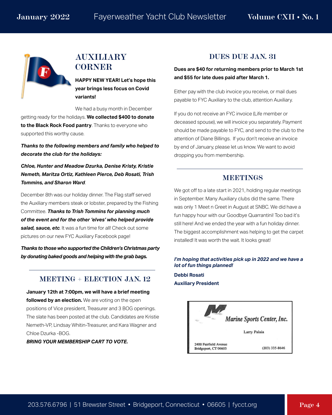

## **AUXILIARY CORNER**

**HAPPY NEW YEAR! Let's hope this year brings less focus on Covid variants!**

We had a busy month in December getting ready for the holidays. **We collected \$400 to donate to the Black Rock Food pantry**. Thanks to everyone who supported this worthy cause.

*Thanks to the following members and family who helped to decorate the club for the holidays:*

*Chloe, Hunter and Meadow Dzurka, Denise Kristy, Kristie Nemeth, Maritza Ortiz, Kathleen Pierce, Deb Rosati, Trish Tommins, and Sharon Ward*.

December 8th was our holiday dinner. The Flag staff served the Auxiliary members steak or lobster, prepared by the Fishing Committee. *Thanks to Trish Tommins for planning much of the event and for the other 'elves' who helped provide salad, sauce, etc*. It was a fun time for all! Check out some pictures on our new FYC Auxiliary Facebook page!

*Thanks to those who supported the Children's Christmas party by donating baked goods and helping with the grab bags.*

### **MEETING + ELECTION JAN. 12**

**January 12th at 7:00pm, we will have a brief meeting followed by an election.** We are voting on the open positions of Vice president, Treasurer and 3 BOG openings. The slate has been posted at the club. Candidates are Kristie Nemeth-VP, Lindsay Whitin-Treasurer, and Kara Wagner and Chloe Dzurka -BOG.

*BRING YOUR MEMBERSHIP CART TO VOTE.*

#### **DUES DUE JAN. 31**

**Dues are \$40 for returning members prior to March 1st and \$55 for late dues paid after March 1.**

Either pay with the club invoice you receive, or mail dues payable to FYC Auxiliary to the club, attention Auxiliary.

If you do not receive an FYC invoice (Life member or deceased spouse), we will invoice you separately. Payment should be made payable to FYC, and send to the club to the attention of Diane Billings. If you don't receive an invoice by end of January, please let us know. We want to avoid dropping you from membership.

#### **MEETINGS**

We got off to a late start in 2021, holding regular meetings in September. Many Auxiliary clubs did the same. There was only 1 Meet n Greet in August at SNBC. We did have a fun happy hour with our Goodbye Quarrantini! Too bad it's still here! And we ended the year with a fun holiday dinner. The biggest accomplishment was helping to get the carpet installed! It was worth the wait. It looks great!

#### *I'm hoping that activities pick up in 2022 and we have a lot of fun things planned!*

**Debbi Rosati Auxiliary President**

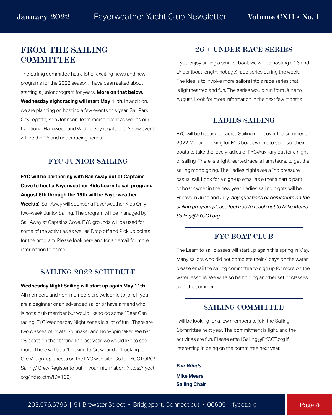# **FROM THE SAILING COMMITTEE**

The Sailing committee has a lot of exciting news and new programs for the 2022 season. I have been asked about starting a junior program for years. **More on that below. Wednesday night racing will start May 11th**. In addition, we are planning on hosting a few events this year. Sail Park City regatta, Ken Johnson Team racing event as well as our traditional Halloween and Wild Turkey regattas It. A new event will be the 26 and under racing series.

#### **FYC JUNIOR SAILING**

### **FYC will be partnering with Sail Away out of Captains Cove to host a Fayerweather Kids Learn to sail program. August 8th through the 19th will be Fayerweather**

**Week(s**). Sail Away will sponsor a Fayerweather Kids Only two-week Junior Sailing. The program will be managed by Sail Away at Captains Cove. FYC grounds will be used for some of the activities as well as Drop off and Pick up points for the program. Please look here and for an email for more information to come.

#### **SAILING 2022 SCHEDULE**

**Wednesday Night Sailing will start up again May 11th**. All members and non-members are welcome to join. If you are a beginner or an advanced sailor or have a friend who is not a club member but would like to do some "Beer Can" racing, FYC Wednesday Night series is a lot of fun. There are two classes of boats Spinnaker and Non-Spinnaker. We had 28 boats on the starting line last year, we would like to see more. There will be a "Looking to Crew" and a "Looking for Crew" sign-up sheets on the FYC web site. Go to FYCCT.ORG/ Sailing/ Crew Register to put in your information. (https://fycct. org/index.cfm?ID=169)

#### **26 + UNDER RACE SERIES**

If you enjoy sailing a smaller boat, we will be hosting a 26 and Under (boat length, not age) race series during the week. The idea is to involve more sailors into a race series that is lighthearted and fun. The series would run from June to August. Look for more information in the next few months

#### **LADIES SAILING**

FYC will be hosting a Ladies Sailing night over the summer of 2022. We are looking for FYC boat owners to sponsor their boats to take the lovely ladies of FYC/Auxiliary out for a night of sailing. There is a lighthearted race, all amateurs, to get the sailing mood going. The Ladies nights are a "no pressure" casual sail. Look for a sign-up email as either a participant or boat owner in the new year. Ladies sailing nights will be Fridays in June and July. *Any questions or comments on the sailing program please feel free to reach out to Mike Mears Sailing@FYCCT.org.*

#### **FYC BOAT CLUB**

The Learn to sail classes will start up again this spring in May. Many sailors who did not complete their 4 days on the water, please email the sailing committee to sign up for more on the water lessons. We will also be holding another set of classes over the summer.

#### **SAILING COMMITTEE**

I will be looking for a few members to join the Sailing Committee next year. The commitment is light, and the activities are fun. Please email Sailing@FYCCT.org if interesting in being on the committee next year.

*Fair Winds* **Mike Mears Sailing Chair**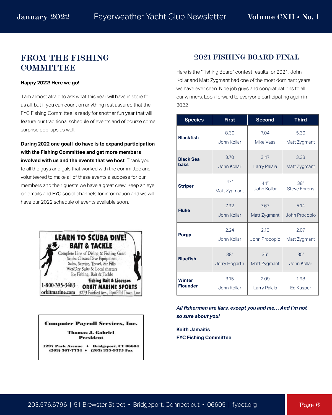# **FROM THE FISHING COMMITTEE**

#### **Happy 2022! Here we go!**

 I am almost afraid to ask what this year will have in store for us all, but if you can count on anything rest assured that the FYC Fishing Committee is ready for another fun year that will feature our traditional schedule of events and of course some surprise pop-ups as well.

**During 2022 one goal I do have is to expand participation with the Fishing Committee and get more members involved with us and the events that we host**. Thank you to all the guys and gals that worked with the committee and volunteered to make all of these events a success for our members and their guests we have a great crew. Keep an eye on emails and FYC social channels for information and we will have our 2022 schedule of events available soon.



# **Computer Payroll Services, Inc.**

**Thomas J. Gabriel President** 

1297 Park Avenue + Bridgeport, CT 06604  $(203)$  367-7734 +  $(203)$  335-9375 Fax

### **2021 FISHING BOARD FINAL**

Here is the "Fishing Board" contest results for 2021. John Kollar and Matt Zygmant had one of the most dominant years we have ever seen. Nice job guys and congratulations to all our winners. Look forward to everyone participating again in 2022

| <b>Species</b>   | <b>First</b>  | <b>Second</b> | <b>Third</b>        |
|------------------|---------------|---------------|---------------------|
| <b>Blackfish</b> | 8.30          | 7.04          | 5.30                |
|                  | John Kollar   | Mike Vass     | Matt Zygmant        |
| <b>Black Sea</b> | 3.70          | 3.47          | 3.33                |
| bass             | John Kollar   | Larry Palaia  | Matt Zygmant        |
| <b>Striper</b>   | 47"           | 44"           | 38"                 |
|                  | Matt Zygmant  | John Kollar   | <b>Steve Ehrens</b> |
| <b>Fluke</b>     | 7.92          | 7.67          | 5.14                |
|                  | John Kollar   | Matt Zygmant  | John Procopio       |
| <b>Porgy</b>     | 2.24          | 2.10          | 2.07                |
|                  | John Kollar   | John Procopio | Matt Zygmant        |
| <b>Bluefish</b>  | 38"           | 36"           | 35"                 |
|                  | Jerry Hogarth | Matt Zygmant  | John Kollar         |
| Winter           | 3.15          | 2.09          | 1.98                |
| <b>Flounder</b>  | John Kollar   | Larry Palaia  | Ed Kasper           |

*All fishermen are liars, except you and me… And I'm not so sure about you!* 

**Keith Jamaitis FYC Fishing Committee**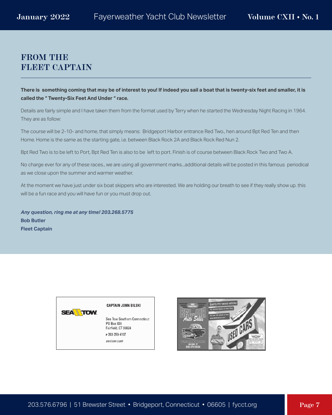# **FROM THE FLEET CAPTAIN**

**There is something coming that may be of interest to you! If indeed you sail a boat that is twenty-six feet and smaller, it is called the " Twenty-Six Feet And Under " race.**

Details are fairly simple and I have taken them from the format used by Terry when he started the Wednesday Night Racing in 1964. They are as follow:

The course will be 2-10- and home, that simply means: Bridgeport Harbor entrance Red Two., hen around Bpt Red Ten and then Home. Home is the same as the starting gate, i.e. between Black Rock 2A and Black Rock Red Nun 2.

Bpt Red Two is to be left to Port, Bpt Red Ten is also to be left to port. Finish is of course between Black Rock Two and Two A.

No charge ever for any of these races., we are using all government marks...additional details will be posted in this famous periodical as we close upon the summer and warmer weather.

At the moment we have just under six boat skippers who are interested. We are holding our breath to see if they really show up. this will be a fun race and you will have fun or you must drop out.

*Any question, ring me at any time! 203.268.5775* **Bob Butler Fleet Captain**